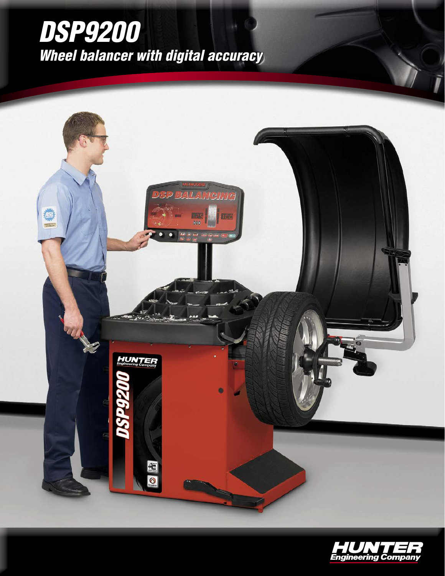# *DSP9200 Wheel balancer with digital accuracy*



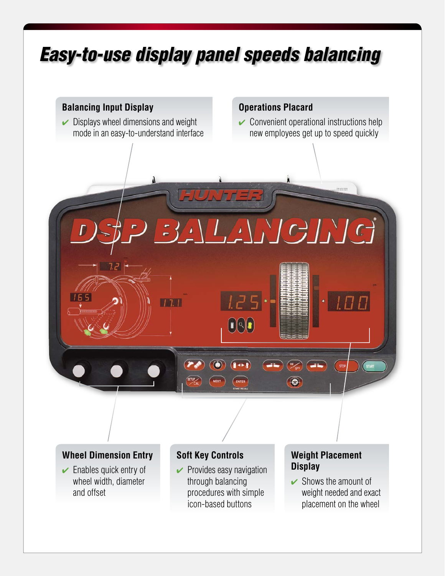# *Easy-to-use display panel speeds balancing*

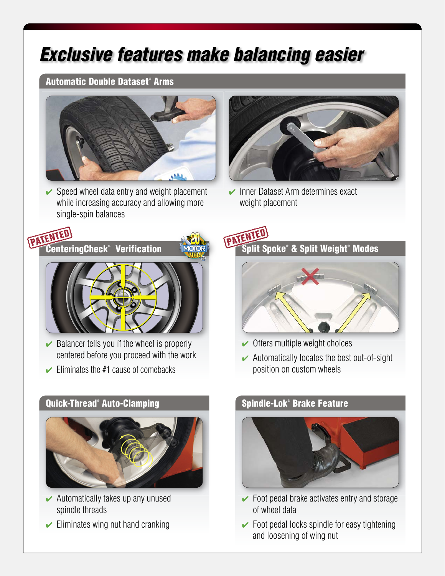## *Exclusive features make balancing easier*

#### Automatic Double Dataset® Arms



 $\vee$  Speed wheel data entry and weight placement while increasing accuracy and allowing more single-spin balances



 $\triangleright$  Inner Dataset Arm determines exact weight placement



- $\triangleright$  Balancer tells you if the wheel is properly centered before you proceed with the work
- $\blacktriangleright$  Eliminates the #1 cause of comebacks

#### Quick-Thread® Auto-Clamping National Spindle-Lok®



- $\blacktriangleright$  Automatically takes up any unused spindle threads
- $\triangleright$  Eliminates wing nut hand cranking

 $\boldsymbol{\hat{s}}$ plit Spoke® & Split Weight® Modes



- $\vee$  Offers multiple weight choices
- $\blacktriangleright$  Automatically locates the best out-of-sight position on custom wheels

### **Spindle-Lok® Brake Feature**



- $\triangleright$  Foot pedal brake activates entry and storage of wheel data
- $\triangleright$  Foot pedal locks spindle for easy tightening and loosening of wing nut